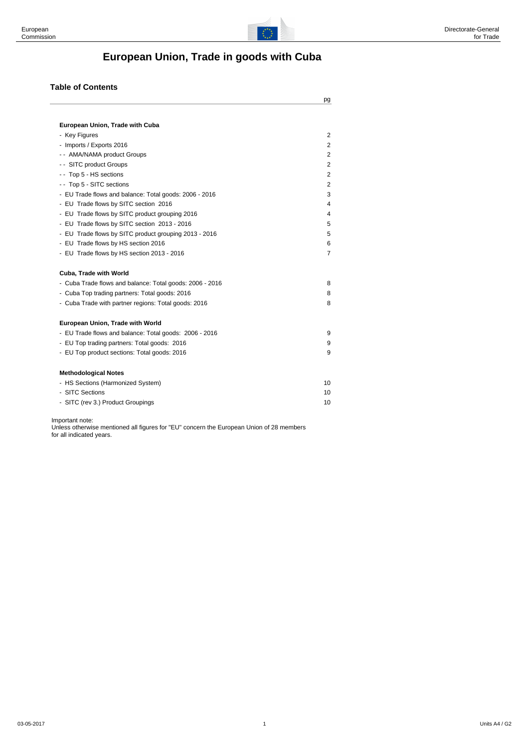

# **European Union, Trade in goods with Cuba**

#### **Table of Contents**

|                                                          | pg             |
|----------------------------------------------------------|----------------|
| European Union, Trade with Cuba                          |                |
| - Key Figures                                            | 2              |
| - Imports / Exports 2016                                 | $\overline{2}$ |
| -- AMA/NAMA product Groups                               | 2              |
| - - SITC product Groups                                  | 2              |
| - - Top 5 - HS sections                                  | $\overline{2}$ |
| - - Top 5 - SITC sections                                | 2              |
| - EU Trade flows and balance: Total goods: 2006 - 2016   | 3              |
| - EU Trade flows by SITC section 2016                    | 4              |
| - EU Trade flows by SITC product grouping 2016           | 4              |
| - EU Trade flows by SITC section 2013 - 2016             | 5              |
| - EU Trade flows by SITC product grouping 2013 - 2016    | 5              |
| - EU Trade flows by HS section 2016                      | 6              |
| - EU Trade flows by HS section 2013 - 2016               | $\overline{7}$ |
| Cuba, Trade with World                                   |                |
| - Cuba Trade flows and balance: Total goods: 2006 - 2016 | 8              |
| - Cuba Top trading partners: Total goods: 2016           | 8              |
| - Cuba Trade with partner regions: Total goods: 2016     | 8              |
| European Union, Trade with World                         |                |
| - EU Trade flows and balance: Total goods: 2006 - 2016   | 9              |
| - EU Top trading partners: Total goods: 2016             | 9              |
| - EU Top product sections: Total goods: 2016             | 9              |
| <b>Methodological Notes</b>                              |                |
| - HS Sections (Harmonized System)                        | 10             |
| - SITC Sections                                          | 10             |
| - SITC (rev 3.) Product Groupings                        | 10             |
|                                                          |                |

Important note:

Unless otherwise mentioned all figures for "EU" concern the European Union of 28 members for all indicated years.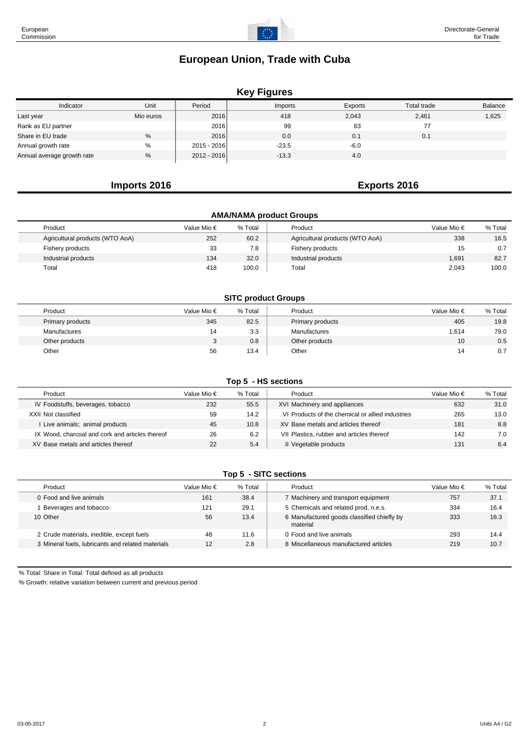## **Key Figures**

| Indicator                  | Unit      | Period      | Imports | Exports | Total trade | Balance |
|----------------------------|-----------|-------------|---------|---------|-------------|---------|
| Last year                  | Mio euros | 2016        | 418     | 2,043   | 2,461       | 1,625   |
| Rank as EU partner         |           | 2016        | 99      | 63      | 77          |         |
| Share in EU trade          | %         | 2016        | 0.0     | 0.1     | 0.1         |         |
| Annual growth rate         | %         | 2015 - 2016 | $-23.5$ | $-6.0$  |             |         |
| Annual average growth rate | %         | 2012 - 2016 | $-13.3$ | 4.0     |             |         |

## **Imports 2016 Exports 2016**

| <b>AMA/NAMA product Groups</b>  |             |         |                                 |                      |         |  |  |  |  |  |  |
|---------------------------------|-------------|---------|---------------------------------|----------------------|---------|--|--|--|--|--|--|
| Product                         | Value Mio € | % Total | Product                         | Value Mio $\epsilon$ | % Total |  |  |  |  |  |  |
| Agricultural products (WTO AoA) | 252         | 60.2    | Agricultural products (WTO AoA) | 338                  | 16.5    |  |  |  |  |  |  |
| Fishery products                | 33          | 7.8     | Fishery products                | 15                   | 0.7     |  |  |  |  |  |  |
| Industrial products             | 134         | 32.0    | Industrial products             | 1,691                | 82.7    |  |  |  |  |  |  |
| Total                           | 418         | 100.0   | Total                           | 2,043                | 100.0   |  |  |  |  |  |  |

#### **SITC product Groups**

| Product          | Value Mio €  | % Total | Product          | Value Mio €     | % Total |
|------------------|--------------|---------|------------------|-----------------|---------|
| Primary products | 345          | 82.5    | Primary products | 405             | 19.8    |
| Manufactures     | 14           | 3.3     | Manufactures     | 1,614           | 79.0    |
| Other products   | $\mathbf{r}$ | 0.8     | Other products   | 10 <sup>°</sup> | 0.5     |
| Other            | 56           | 13.4    | Other            | 14              | 0.7     |

#### **Top 5 - HS sections**

| Product                                         | Value Mio € | % Total | Product                                          | Value Mio € | % Total |
|-------------------------------------------------|-------------|---------|--------------------------------------------------|-------------|---------|
| IV Foodstuffs, beverages, tobacco               | 232         | 55.5    | XVI Machinery and appliances                     | 632         | 31.0    |
| XXII Not classified                             | 59          | 14.2    | VI Products of the chemical or allied industries | 265         | 13.0    |
| Live animals; animal products                   | 45          | 10.8    | XV Base metals and articles thereof              | 181         | 8.8     |
| IX Wood, charcoal and cork and articles thereof | 26          | 6.2     | VII Plastics, rubber and articles thereof        | 142         | 7.0     |
| XV Base metals and articles thereof             | 22          | 5.4     | Il Vegetable products                            | 131         | 6.4     |

#### **Top 5 - SITC sections**

| Product                                           | Value Mio € | % Total | Product                                                | Value Mio $\epsilon$ | % Total |
|---------------------------------------------------|-------------|---------|--------------------------------------------------------|----------------------|---------|
| 0 Food and live animals                           | 161         | 38.4    | 7 Machinery and transport equipment                    | 757                  | 37.1    |
| Beverages and tobacco                             | 121         | 29.1    | 5 Chemicals and related prod, n.e.s.                   | 334                  | 16.4    |
| 10 Other                                          | 56          | 13.4    | 6 Manufactured goods classified chiefly by<br>material | 333                  | 16.3    |
| 2 Crude materials, inedible, except fuels         | 48          | 11.6    | 0 Food and live animals                                | 293                  | 14.4    |
| 3 Mineral fuels, lubricants and related materials | 12          | 2.8     | 8 Miscellaneous manufactured articles                  | 219                  | 10.7    |

% Total: Share in Total: Total defined as all products

% Growth: relative variation between current and previous period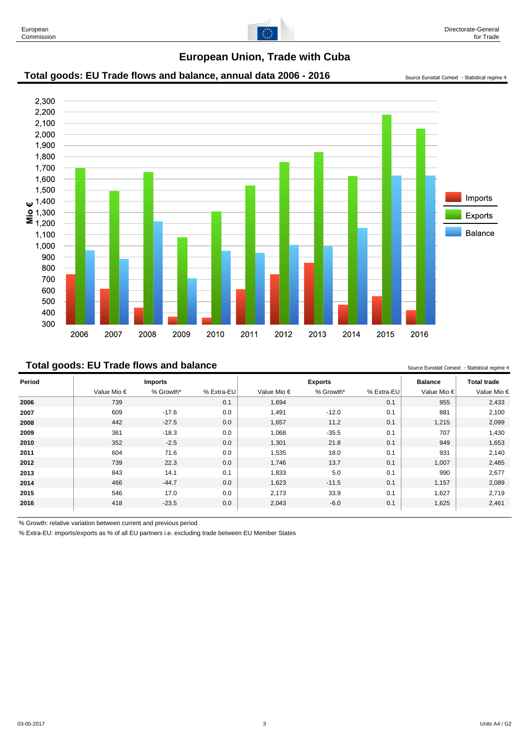

#### Total goods: EU Trade flows and balance, annual data 2006 - 2016 Source Eurostat Comext - Statistical regime 4



#### **Total goods: EU Trade flows and balance** Source **In the Source Eurostat Comext** - Statistical reqime 4

**Period Imports Exports Balance Total trade** Value Mio € % Growth\* % Extra-EU Value Mio € % Growth\* % Extra-EU Value Mio € Value Mio € 739 0.1 1,694 0.1 955 2,433 609 -17.6 0.0 1,491 -12.0 0.1 881 2,100 442 -27.5 0.0 1,657 11.2 0.1 1,215 2,099 361 -18.3 0.0 1,068 -35.5 0.1 707 1,430 352 -2.5 0.0 1,301 21.8 0.1 949 1,653 604 71.6 0.0 1,535 18.0 0.1 931 2,140 739 22.3 0.0 1,746 13.7 0.1 1,007 2,485 843 14.1 0.1 1,833 5.0 0.1 990 2,677 466 -44.7 0.0 1,623 -11.5 0.1 1,157 2,089 546 17.0 0.0 2,173 33.9 0.1 1,627 2,719 418 -23.5 0.0 2,043 -6.0 0.1 1,625 2,461

% Growth: relative variation between current and previous period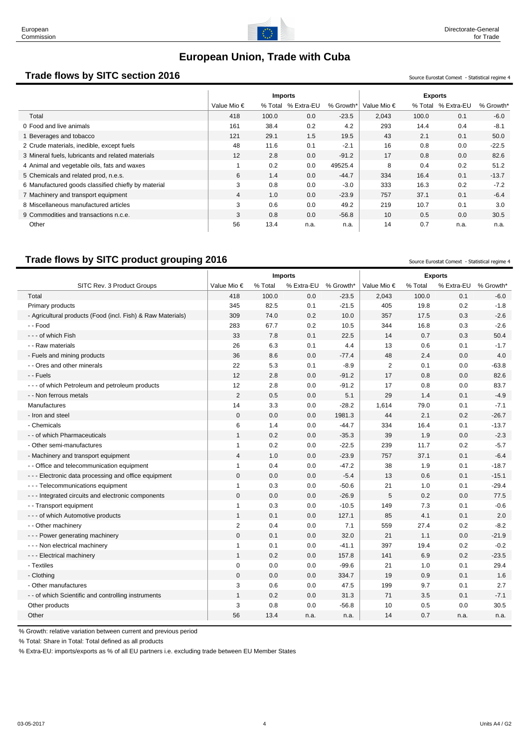

# **Trade flows by SITC section 2016** Source Eurostat Comext - Statistical regime 4

|                                                     | <b>Imports</b> |         |            |           | <b>Exports</b>       |         |            |           |
|-----------------------------------------------------|----------------|---------|------------|-----------|----------------------|---------|------------|-----------|
|                                                     | Value Mio €    | % Total | % Extra-EU | % Growth* | Value Mio $\epsilon$ | % Total | % Extra-EU | % Growth* |
| Total                                               | 418            | 100.0   | 0.0        | $-23.5$   | 2.043                | 100.0   | 0.1        | $-6.0$    |
| 0 Food and live animals                             | 161            | 38.4    | 0.2        | 4.2       | 293                  | 14.4    | 0.4        | $-8.1$    |
| Beverages and tobacco                               | 121            | 29.1    | 1.5        | 19.5      | 43                   | 2.1     | 0.1        | 50.0      |
| 2 Crude materials, inedible, except fuels           | 48             | 11.6    | 0.1        | $-2.1$    | 16                   | 0.8     | 0.0        | $-22.5$   |
| 3 Mineral fuels, lubricants and related materials   | 12             | 2.8     | 0.0        | $-91.2$   | 17                   | 0.8     | 0.0        | 82.6      |
| 4 Animal and vegetable oils, fats and waxes         |                | 0.2     | 0.0        | 49525.4   | 8                    | 0.4     | 0.2        | 51.2      |
| 5 Chemicals and related prod, n.e.s.                | 6              | 1.4     | 0.0        | $-44.7$   | 334                  | 16.4    | 0.1        | $-13.7$   |
| 6 Manufactured goods classified chiefly by material | 3              | 0.8     | 0.0        | $-3.0$    | 333                  | 16.3    | 0.2        | $-7.2$    |
| 7 Machinery and transport equipment                 | $\overline{4}$ | 1.0     | 0.0        | $-23.9$   | 757                  | 37.1    | 0.1        | $-6.4$    |
| 8 Miscellaneous manufactured articles               | 3              | 0.6     | 0.0        | 49.2      | 219                  | 10.7    | 0.1        | 3.0       |
| 9 Commodities and transactions n.c.e.               | 3              | 0.8     | 0.0        | $-56.8$   | 10                   | 0.5     | 0.0        | 30.5      |
| Other                                               | 56             | 13.4    | n.a.       | n.a.      | 14                   | 0.7     | n.a.       | n.a.      |

# **Trade flows by SITC product grouping 2016** Source Eurostat Comext - Statistical regime 4

|                                                             | <b>Imports</b> |         |            |           | <b>Exports</b> |         |            |           |
|-------------------------------------------------------------|----------------|---------|------------|-----------|----------------|---------|------------|-----------|
| SITC Rev. 3 Product Groups                                  | Value Mio €    | % Total | % Extra-EU | % Growth* | Value Mio €    | % Total | % Extra-EU | % Growth* |
| Total                                                       | 418            | 100.0   | 0.0        | $-23.5$   | 2,043          | 100.0   | 0.1        | $-6.0$    |
| Primary products                                            | 345            | 82.5    | 0.1        | $-21.5$   | 405            | 19.8    | 0.2        | $-1.8$    |
| - Agricultural products (Food (incl. Fish) & Raw Materials) | 309            | 74.0    | 0.2        | 10.0      | 357            | 17.5    | 0.3        | $-2.6$    |
| - - Food                                                    | 283            | 67.7    | 0.2        | 10.5      | 344            | 16.8    | 0.3        | $-2.6$    |
| - - - of which Fish                                         | 33             | 7.8     | 0.1        | 22.5      | 14             | 0.7     | 0.3        | 50.4      |
| - - Raw materials                                           | 26             | 6.3     | 0.1        | 4.4       | 13             | 0.6     | 0.1        | $-1.7$    |
| - Fuels and mining products                                 | 36             | 8.6     | 0.0        | $-77.4$   | 48             | 2.4     | 0.0        | 4.0       |
| - - Ores and other minerals                                 | 22             | 5.3     | 0.1        | $-8.9$    | $\overline{2}$ | 0.1     | 0.0        | $-63.8$   |
| - - Fuels                                                   | 12             | 2.8     | 0.0        | $-91.2$   | 17             | 0.8     | 0.0        | 82.6      |
| - - - of which Petroleum and petroleum products             | 12             | 2.8     | 0.0        | $-91.2$   | 17             | 0.8     | 0.0        | 83.7      |
| - - Non ferrous metals                                      | $\overline{2}$ | 0.5     | 0.0        | 5.1       | 29             | 1.4     | 0.1        | $-4.9$    |
| Manufactures                                                | 14             | 3.3     | 0.0        | $-28.2$   | 1,614          | 79.0    | 0.1        | $-7.1$    |
| - Iron and steel                                            | $\mathbf 0$    | 0.0     | 0.0        | 1981.3    | 44             | 2.1     | 0.2        | $-26.7$   |
| - Chemicals                                                 | 6              | 1.4     | 0.0        | $-44.7$   | 334            | 16.4    | 0.1        | $-13.7$   |
| - - of which Pharmaceuticals                                | $\mathbf{1}$   | 0.2     | 0.0        | $-35.3$   | 39             | 1.9     | 0.0        | $-2.3$    |
| - Other semi-manufactures                                   | $\mathbf{1}$   | 0.2     | 0.0        | $-22.5$   | 239            | 11.7    | 0.2        | $-5.7$    |
| - Machinery and transport equipment                         | $\overline{4}$ | 1.0     | 0.0        | $-23.9$   | 757            | 37.1    | 0.1        | $-6.4$    |
| - - Office and telecommunication equipment                  | $\mathbf{1}$   | 0.4     | 0.0        | $-47.2$   | 38             | 1.9     | 0.1        | $-18.7$   |
| --- Electronic data processing and office equipment         | $\mathbf 0$    | 0.0     | 0.0        | $-5.4$    | 13             | 0.6     | 0.1        | $-15.1$   |
| --- Telecommunications equipment                            | $\mathbf{1}$   | 0.3     | 0.0        | $-50.6$   | 21             | 1.0     | 0.1        | $-29.4$   |
| --- Integrated circuits and electronic components           | $\mathbf 0$    | 0.0     | 0.0        | $-26.9$   | 5              | 0.2     | 0.0        | 77.5      |
| - - Transport equipment                                     | $\mathbf{1}$   | 0.3     | 0.0        | $-10.5$   | 149            | 7.3     | 0.1        | $-0.6$    |
| - - - of which Automotive products                          | $\mathbf{1}$   | 0.1     | 0.0        | 127.1     | 85             | 4.1     | 0.1        | 2.0       |
| - - Other machinery                                         | $\overline{2}$ | 0.4     | 0.0        | 7.1       | 559            | 27.4    | 0.2        | $-8.2$    |
| - - - Power generating machinery                            | $\mathbf 0$    | 0.1     | 0.0        | 32.0      | 21             | 1.1     | 0.0        | $-21.9$   |
| - - - Non electrical machinery                              | $\mathbf{1}$   | 0.1     | 0.0        | $-41.1$   | 397            | 19.4    | 0.2        | $-0.2$    |
| - - - Electrical machinery                                  | $\mathbf{1}$   | 0.2     | 0.0        | 157.8     | 141            | 6.9     | 0.2        | $-23.5$   |
| - Textiles                                                  | $\mathbf 0$    | 0.0     | 0.0        | $-99.6$   | 21             | 1.0     | 0.1        | 29.4      |
| - Clothing                                                  | $\mathbf 0$    | 0.0     | 0.0        | 334.7     | 19             | 0.9     | 0.1        | 1.6       |
| - Other manufactures                                        | 3              | 0.6     | 0.0        | 47.5      | 199            | 9.7     | 0.1        | 2.7       |
| - - of which Scientific and controlling instruments         | $\mathbf{1}$   | 0.2     | 0.0        | 31.3      | 71             | 3.5     | 0.1        | $-7.1$    |
| Other products                                              | 3              | 0.8     | 0.0        | $-56.8$   | 10             | 0.5     | 0.0        | 30.5      |
| Other                                                       | 56             | 13.4    | n.a.       | n.a.      | 14             | 0.7     | n.a.       | n.a.      |

% Growth: relative variation between current and previous period

% Total: Share in Total: Total defined as all products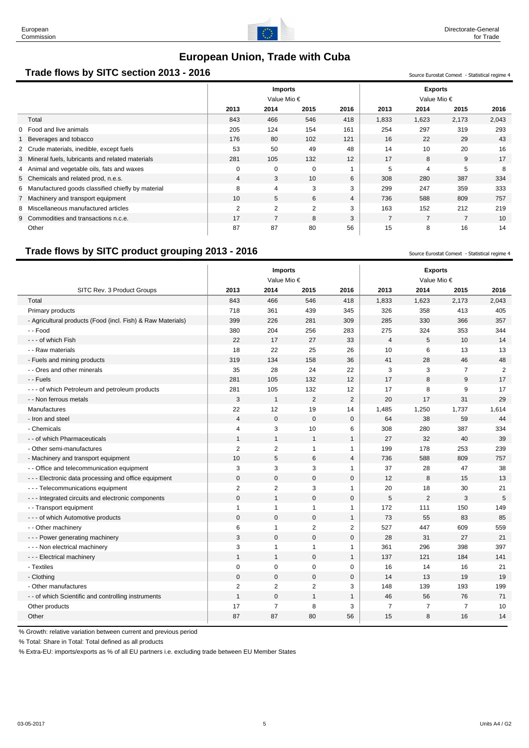

## **Trade flows by SITC section 2013 - 2016** Sunce Eurostat Comext - Statistical regime 4

|                                       |                                                     | <b>Imports</b><br>Value Mio $\epsilon$ |                |      | <b>Exports</b><br>Value Mio $\epsilon$ |       |                |                |       |
|---------------------------------------|-----------------------------------------------------|----------------------------------------|----------------|------|----------------------------------------|-------|----------------|----------------|-------|
|                                       |                                                     | 2013                                   | 2014           | 2015 | 2016                                   | 2013  | 2014           | 2015           | 2016  |
| Total                                 |                                                     | 843                                    | 466            | 546  | 418                                    | 1,833 | 1,623          | 2,173          | 2,043 |
| 0 Food and live animals               |                                                     | 205                                    | 124            | 154  | 161                                    | 254   | 297            | 319            | 293   |
| Beverages and tobacco                 |                                                     | 176                                    | 80             | 102  | 121                                    | 16    | 22             | 29             | 43    |
|                                       | 2 Crude materials, inedible, except fuels           | 53                                     | 50             | 49   | 48                                     | 14    | 10             | 20             | 16    |
|                                       | 3 Mineral fuels, lubricants and related materials   | 281                                    | 105            | 132  | 12                                     | 17    | 8              | 9              | 17    |
|                                       | 4 Animal and vegetable oils, fats and waxes         | $\mathbf 0$                            | $\mathbf 0$    | 0    |                                        | 5     | 4              | 5              | 8     |
| 5 Chemicals and related prod, n.e.s.  |                                                     | $\overline{4}$                         | 3              | 10   | 6                                      | 308   | 280            | 387            | 334   |
|                                       | 6 Manufactured goods classified chiefly by material | 8                                      | $\overline{4}$ | 3    | 3                                      | 299   | 247            | 359            | 333   |
| 7 Machinery and transport equipment   |                                                     | 10                                     | 5              | 6    | $\overline{4}$                         | 736   | 588            | 809            | 757   |
|                                       | 8 Miscellaneous manufactured articles               | $\overline{2}$                         | $\overline{2}$ | 2    | 3                                      | 163   | 152            | 212            | 219   |
| 9 Commodities and transactions n.c.e. |                                                     | 17                                     | $\overline{7}$ | 8    | 3                                      | 7     | $\overline{7}$ | $\overline{7}$ | 10    |
| Other                                 |                                                     | 87                                     | 87             | 80   | 56                                     | 15    | 8              | 16             | 14    |

# **Trade flows by SITC product grouping 2013 - 2016** Source Eurostat Comext - Statistical regime 4

**Imports Exports** Value Mio € Value Mio € SITC Rev. 3 Product Groups **2013 2014 2015 2016 2013 2014 2015 2016** Total 843 466 546 418 1,833 1,623 2,173 2,043 Primary products 718 361 439 345 326 358 413 405 - Agricultural products (Food (incl. Fish) & Raw Materials) 399 226 281 309 285 330 366 357 - - Food 380 204 256 283 275 324 353 344 - - - of which Fish 22 17 27 33 4 5 10 14 - - Raw materials 18 22 25 26 10 6 13 13 - Fuels and mining products and the set of the set of the set of the set of the set of the set of the set of the set of the set of the set of the set of the set of the set of the set of the set of the set of the set of the - Ores and other minerals 25 28 24 22 3 3 7 2 - - Fuels 281 105 132 12 17 8 9 17 --- of which Petroleum and petroleum products  $\begin{array}{ccc} \vert & 281 & 105 & 132 & 12 \end{array}$  17 8 9 17 - - Non ferrous metals 3 1 2 2 20 17 31 29 Manufactures 22 12 19 14 1,485 1,250 1,737 1,614 - Iron and steel | 4 0 0 0 | 64 38 59 44 - Chemicals 4 3 10 6 308 280 387 334 -- of which Pharmaceuticals 1 1 1 1 1 1 1 27 32 40 39 - Other semi-manufactures 2 2 1 1 199 178 253 239 - Machinery and transport equipment 10 10 5 6 4 736 588 809 757 -- Office and telecommunication equipment 13 3 3 3 1 3 3 3 1 37 28 47 38 ---Electronic data processing and office equipment  $\begin{array}{cccc} \vert & 0 & 0 & 0 & 0 \end{array}$  0 12 8 15 13 - - - Telecommunications equipment 2 2 3 1 20 18 30 21 --- Integrated circuits and electronic components  $\begin{array}{cccc} \vert & 0 & 1 & 0 & 0 \vert & 5 & 2 & 3 & 5 \end{array}$ - - Transport equipment 1 1 1 1 172 111 150 149 - - - of which Automotive products 0 0 0 1 73 55 83 85 - Other machinery 6 1 2 2 | 527 447 609 559 ---Power generating machinery  $\begin{array}{ccccccc} \vert & & 3 & & 0 & & 0 & & 0 \end{array}$   $\begin{array}{ccccccc} & & & 28 & & 31 & & 27 & & 21 \end{array}$ -- Non electrical machinery 1998 1997 10: 1 1 1 1 1 361 296 398 397 ---Electrical machinery 1 1 1 1 0 1 1 137 121 184 141 - Textiles 0 0 0 0 16 14 16 21 - Clothing 0 0 0 0 14 13 19 19 - Other manufactures 2 2 2 3 148 139 193 199 -- of which Scientific and controlling instruments  $\begin{array}{cccc} 1 & 0 & 1 & 1 \end{array}$   $\begin{array}{cccc} 1 & 46 & 56 \end{array}$  71 Other products 17 7 8 3 7 7 7 10 Other 87 87 80 56 15 8 16 14

% Growth: relative variation between current and previous period

% Total: Share in Total: Total defined as all products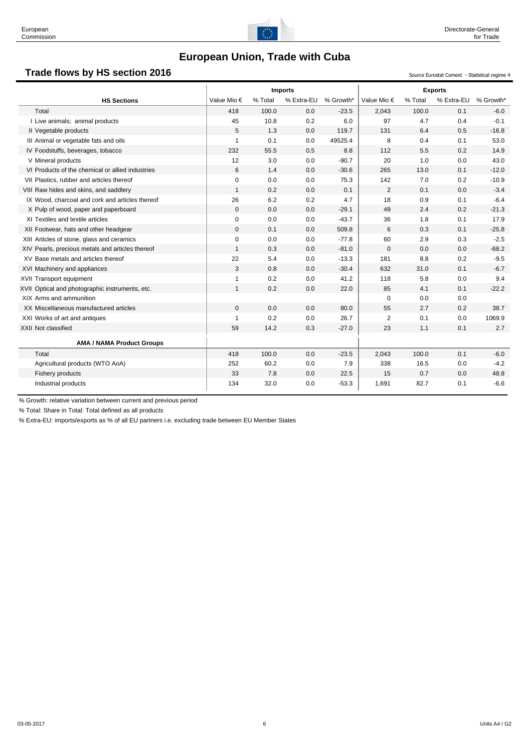

## **Trade flows by HS section 2016** Source Eurostat Comext - Statistical regime 4

|                                                  | <b>Imports</b> |         |            |           |                |         | <b>Exports</b> |           |
|--------------------------------------------------|----------------|---------|------------|-----------|----------------|---------|----------------|-----------|
| <b>HS Sections</b>                               | Value Mio €    | % Total | % Extra-EU | % Growth* | Value Mio €    | % Total | % Extra-EU     | % Growth* |
| Total                                            | 418            | 100.0   | 0.0        | $-23.5$   | 2,043          | 100.0   | 0.1            | $-6.0$    |
| I Live animals; animal products                  | 45             | 10.8    | 0.2        | 6.0       | 97             | 4.7     | 0.4            | $-0.1$    |
| Il Vegetable products                            | 5              | 1.3     | 0.0        | 119.7     | 131            | 6.4     | 0.5            | $-16.8$   |
| III Animal or vegetable fats and oils            | $\mathbf{1}$   | 0.1     | 0.0        | 49525.4   | 8              | 0.4     | 0.1            | 53.0      |
| IV Foodstuffs, beverages, tobacco                | 232            | 55.5    | 0.5        | 8.8       | 112            | 5.5     | 0.2            | 14.9      |
| V Mineral products                               | 12             | 3.0     | 0.0        | $-90.7$   | 20             | 1.0     | 0.0            | 43.0      |
| VI Products of the chemical or allied industries | 6              | 1.4     | 0.0        | $-30.6$   | 265            | 13.0    | 0.1            | $-12.0$   |
| VII Plastics, rubber and articles thereof        | $\mathbf 0$    | 0.0     | 0.0        | 75.3      | 142            | 7.0     | 0.2            | $-10.9$   |
| VIII Raw hides and skins, and saddlery           | $\mathbf{1}$   | 0.2     | 0.0        | 0.1       | 2              | 0.1     | 0.0            | $-3.4$    |
| IX Wood, charcoal and cork and articles thereof  | 26             | 6.2     | 0.2        | 4.7       | 18             | 0.9     | 0.1            | $-6.4$    |
| X Pulp of wood, paper and paperboard             | $\mathbf{0}$   | 0.0     | 0.0        | $-29.1$   | 49             | 2.4     | 0.2            | $-21.3$   |
| XI Textiles and textile articles                 | $\mathbf 0$    | 0.0     | 0.0        | $-43.7$   | 36             | 1.8     | 0.1            | 17.9      |
| XII Footwear, hats and other headgear            | $\mathbf{0}$   | 0.1     | 0.0        | 509.8     | 6              | 0.3     | 0.1            | $-25.8$   |
| XIII Articles of stone, glass and ceramics       | $\mathbf 0$    | 0.0     | 0.0        | $-77.8$   | 60             | 2.9     | 0.3            | $-2.5$    |
| XIV Pearls, precious metals and articles thereof | $\mathbf{1}$   | 0.3     | 0.0        | $-81.0$   | $\mathbf 0$    | 0.0     | 0.0            | $-68.2$   |
| XV Base metals and articles thereof              | 22             | 5.4     | 0.0        | $-13.3$   | 181            | 8.8     | 0.2            | $-9.5$    |
| XVI Machinery and appliances                     | 3              | 0.8     | 0.0        | $-30.4$   | 632            | 31.0    | 0.1            | $-6.7$    |
| XVII Transport equipment                         | $\mathbf{1}$   | 0.2     | 0.0        | 41.2      | 118            | 5.8     | 0.0            | 9.4       |
| XVII Optical and photographic instruments, etc.  | $\mathbf{1}$   | 0.2     | 0.0        | 22.0      | 85             | 4.1     | 0.1            | $-22.2$   |
| XIX Arms and ammunition                          |                |         |            |           | 0              | 0.0     | 0.0            |           |
| XX Miscellaneous manufactured articles           | $\mathbf{0}$   | 0.0     | 0.0        | 80.0      | 55             | 2.7     | 0.2            | 38.7      |
| XXI Works of art and antiques                    | $\mathbf{1}$   | 0.2     | 0.0        | 26.7      | $\overline{2}$ | 0.1     | 0.0            | 1069.9    |
| XXII Not classified                              | 59             | 14.2    | 0.3        | $-27.0$   | 23             | 1.1     | 0.1            | 2.7       |
| <b>AMA / NAMA Product Groups</b>                 |                |         |            |           |                |         |                |           |
| Total                                            | 418            | 100.0   | 0.0        | $-23.5$   | 2,043          | 100.0   | 0.1            | $-6.0$    |
| Agricultural products (WTO AoA)                  | 252            | 60.2    | 0.0        | 7.9       | 338            | 16.5    | 0.0            | $-4.2$    |
| Fishery products                                 | 33             | 7.8     | 0.0        | 22.5      | 15             | 0.7     | 0.0            | 48.8      |
| Industrial products                              | 134            | 32.0    | 0.0        | $-53.3$   | 1,691          | 82.7    | 0.1            | $-6.6$    |

% Growth: relative variation between current and previous period

% Total: Share in Total: Total defined as all products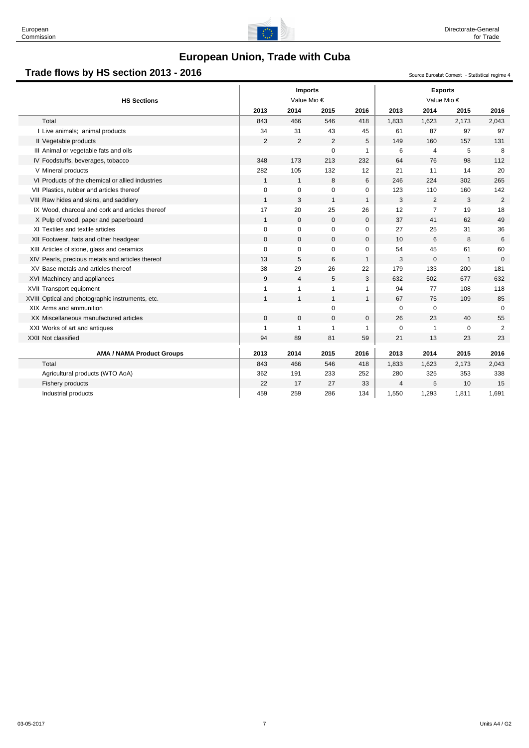

# **Trade flows by HS section 2013 - 2016** Superinter and the section of the source Eurostat Comext - Statistical regime 4

| <b>HS Sections</b>                               |                | <b>Imports</b><br>Value Mio € |              |              |             | <b>Exports</b><br>Value Mio € |              |                |  |
|--------------------------------------------------|----------------|-------------------------------|--------------|--------------|-------------|-------------------------------|--------------|----------------|--|
|                                                  | 2013           | 2014                          | 2015         | 2016         | 2013        | 2014                          | 2015         | 2016           |  |
| Total                                            | 843            | 466                           | 546          | 418          | 1,833       | 1,623                         | 2,173        | 2,043          |  |
| I Live animals; animal products                  | 34             | 31                            | 43           | 45           | 61          | 87                            | 97           | 97             |  |
| Il Vegetable products                            | $\overline{2}$ | $\overline{2}$                | 2            | 5            | 149         | 160                           | 157          | 131            |  |
| III Animal or vegetable fats and oils            |                |                               | $\Omega$     | 1            | 6           | $\overline{4}$                | 5            | 8              |  |
| IV Foodstuffs, beverages, tobacco                | 348            | 173                           | 213          | 232          | 64          | 76                            | 98           | 112            |  |
| V Mineral products                               | 282            | 105                           | 132          | 12           | 21          | 11                            | 14           | 20             |  |
| VI Products of the chemical or allied industries | $\mathbf{1}$   | $\mathbf{1}$                  | 8            | 6            | 246         | 224                           | 302          | 265            |  |
| VII Plastics, rubber and articles thereof        | $\mathbf 0$    | $\mathbf 0$                   | 0            | 0            | 123         | 110                           | 160          | 142            |  |
| VIII Raw hides and skins, and saddlery           | $\overline{1}$ | 3                             | $\mathbf{1}$ | $\mathbf{1}$ | 3           | 2                             | 3            | 2              |  |
| IX Wood, charcoal and cork and articles thereof  | 17             | 20                            | 25           | 26           | 12          | $\overline{7}$                | 19           | 18             |  |
| X Pulp of wood, paper and paperboard             | $\mathbf{1}$   | $\mathbf 0$                   | $\mathbf 0$  | $\mathbf 0$  | 37          | 41                            | 62           | 49             |  |
| XI Textiles and textile articles                 | 0              | $\mathbf 0$                   | 0            | 0            | 27          | 25                            | 31           | 36             |  |
| XII Footwear, hats and other headgear            | $\mathbf{0}$   | $\mathbf 0$                   | $\mathbf{0}$ | 0            | 10          | 6                             | 8            | 6              |  |
| XIII Articles of stone, glass and ceramics       | $\mathbf 0$    | $\mathbf 0$                   | $\mathbf 0$  | 0            | 54          | 45                            | 61           | 60             |  |
| XIV Pearls, precious metals and articles thereof | 13             | 5                             | 6            | $\mathbf{1}$ | 3           | $\mathbf 0$                   | $\mathbf{1}$ | $\mathbf 0$    |  |
| XV Base metals and articles thereof              | 38             | 29                            | 26           | 22           | 179         | 133                           | 200          | 181            |  |
| XVI Machinery and appliances                     | 9              | $\overline{4}$                | 5            | 3            | 632         | 502                           | 677          | 632            |  |
| XVII Transport equipment                         | 1              | $\mathbf{1}$                  | 1            | 1            | 94          | 77                            | 108          | 118            |  |
| XVIII Optical and photographic instruments, etc. | $\mathbf{1}$   | $\mathbf{1}$                  | $\mathbf{1}$ | $\mathbf{1}$ | 67          | 75                            | 109          | 85             |  |
| XIX Arms and ammunition                          |                |                               | 0            |              | $\mathbf 0$ | $\mathbf 0$                   |              | $\Omega$       |  |
| XX Miscellaneous manufactured articles           | $\mathbf 0$    | $\mathbf 0$                   | $\mathbf{0}$ | 0            | 26          | 23                            | 40           | 55             |  |
| XXI Works of art and antiques                    | $\overline{1}$ | $\mathbf{1}$                  | 1            | 1            | $\mathbf 0$ | $\mathbf{1}$                  | $\mathbf 0$  | $\overline{2}$ |  |
| XXII Not classified                              | 94             | 89                            | 81           | 59           | 21          | 13                            | 23           | 23             |  |
| <b>AMA / NAMA Product Groups</b>                 | 2013           | 2014                          | 2015         | 2016         | 2013        | 2014                          | 2015         | 2016           |  |
| Total                                            | 843            | 466                           | 546          | 418          | 1,833       | 1,623                         | 2,173        | 2,043          |  |
| Agricultural products (WTO AoA)                  | 362            | 191                           | 233          | 252          | 280         | 325                           | 353          | 338            |  |
| Fishery products                                 | 22             | 17                            | 27           | 33           | 4           | 5                             | 10           | 15             |  |
| Industrial products                              | 459            | 259                           | 286          | 134          | 1,550       | 1,293                         | 1,811        | 1,691          |  |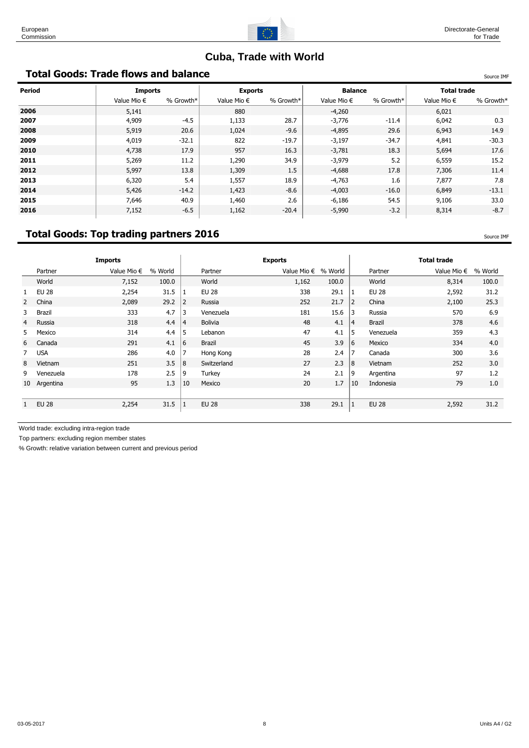

# **Cuba, Trade with World**

# **Total Goods: Trade flows and balance** Source IMF And The Source IMF And The Source IMF

| <b>Period</b> | <b>Imports</b>       |           | <b>Exports</b>       |           | <b>Balance</b>       |           | <b>Total trade</b>   |           |
|---------------|----------------------|-----------|----------------------|-----------|----------------------|-----------|----------------------|-----------|
|               | Value Mio $\epsilon$ | % Growth* | Value Mio $\epsilon$ | % Growth* | Value Mio $\epsilon$ | % Growth* | Value Mio $\epsilon$ | % Growth* |
| 2006          | 5,141                |           | 880                  |           | $-4,260$             |           | 6,021                |           |
| 2007          | 4,909                | $-4.5$    | 1,133                | 28.7      | $-3,776$             | $-11.4$   | 6,042                | 0.3       |
| 2008          | 5,919                | 20.6      | 1,024                | $-9.6$    | $-4,895$             | 29.6      | 6,943                | 14.9      |
| 2009          | 4,019                | $-32.1$   | 822                  | $-19.7$   | $-3,197$             | $-34.7$   | 4,841                | $-30.3$   |
| 2010          | 4,738                | 17.9      | 957                  | 16.3      | $-3,781$             | 18.3      | 5,694                | 17.6      |
| 2011          | 5,269                | 11.2      | 1,290                | 34.9      | $-3,979$             | 5.2       | 6,559                | 15.2      |
| 2012          | 5,997                | 13.8      | 1,309                | 1.5       | $-4,688$             | 17.8      | 7,306                | 11.4      |
| 2013          | 6,320                | 5.4       | 1,557                | 18.9      | $-4,763$             | 1.6       | 7,877                | 7.8       |
| 2014          | 5,426                | $-14.2$   | 1,423                | $-8.6$    | $-4,003$             | $-16.0$   | 6,849                | $-13.1$   |
| 2015          | 7,646                | 40.9      | 1,460                | 2.6       | $-6,186$             | 54.5      | 9,106                | 33.0      |
| 2016          | 7,152                | $-6.5$    | 1,162                | $-20.4$   | $-5,990$             | $-3.2$    | 8,314                | $-8.7$    |

# **Total Goods: Top trading partners 2016** Source 19 and the set of the source IMF

|              | <b>Imports</b>       |         |                |                | <b>Exports</b> |         |                      |              | <b>Total trade</b>   |         |
|--------------|----------------------|---------|----------------|----------------|----------------|---------|----------------------|--------------|----------------------|---------|
| Partner      | Value Mio $\epsilon$ | % World |                | Partner        |                | % World |                      | Partner      | Value Mio $\epsilon$ | % World |
| World        | 7,152                | 100.0   |                | World          | 1,162          | 100.0   |                      | World        | 8,314                | 100.0   |
| <b>EU 28</b> | 2,254                | 31.5    |                | <b>EU 28</b>   | 338            | 29.1    | 1                    | <b>EU 28</b> | 2,592                | 31.2    |
| China        | 2,089                | 29.2    | $\overline{2}$ | Russia         | 252            | 21.7    | 2                    | China        | 2,100                | 25.3    |
| Brazil       | 333                  | 4.7     | 3              | Venezuela      | 181            | 15.6    | 3                    | Russia       | 570                  | 6.9     |
| Russia       | 318                  | 4.4     | $\overline{4}$ | <b>Bolivia</b> | 48             | 4.1     | 4                    | Brazil       | 378                  | 4.6     |
| Mexico       | 314                  | 4.4     | 5              | Lebanon        | 47             | 4.1     | 5                    | Venezuela    | 359                  | 4.3     |
| Canada       | 291                  | 4.1     | 6              | Brazil         | 45             | 3.9     |                      | Mexico       | 334                  | 4.0     |
| <b>USA</b>   | 286                  | 4.0     | $\overline{7}$ | Hong Kong      | 28             | 2.4     | 7                    | Canada       | 300                  | 3.6     |
| Vietnam      | 251                  | 3.5     | 8              | Switzerland    | 27             | 2.3     |                      | Vietnam      | 252                  | 3.0     |
| Venezuela    | 178                  | 2.5     | 9              | Turkey         | 24             | 2.1     | 9                    | Argentina    | 97                   | 1.2     |
| 10 Argentina | 95                   | 1.3     | 10             | Mexico         | 20             | 1.7     | 10                   | Indonesia    | 79                   | 1.0     |
|              |                      |         |                |                |                |         |                      |              |                      |         |
| <b>EU 28</b> | 2,254                | 31.5    |                | <b>EU 28</b>   | 338            | 29.1    |                      | <b>EU 28</b> | 2,592                | 31.2    |
|              |                      |         |                |                |                |         | Value Mio $\epsilon$ | 16<br>8      |                      |         |

World trade: excluding intra-region trade

Top partners: excluding region member states

% Growth: relative variation between current and previous period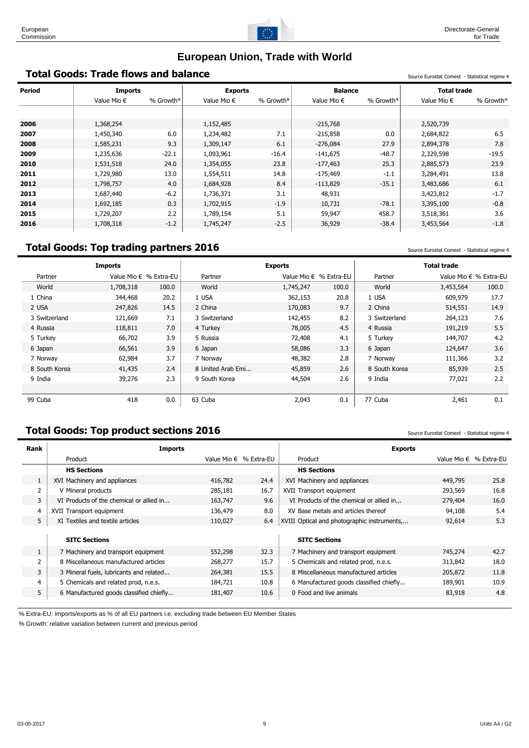

# **European Union, Trade with World**

# **Total Goods: Trade flows and balance** Statistical Comext - Statistical regime 4

| <b>Period</b> | <b>Imports</b>       |           | <b>Exports</b>       |           | <b>Balance</b>       |           | <b>Total trade</b>   |           |
|---------------|----------------------|-----------|----------------------|-----------|----------------------|-----------|----------------------|-----------|
|               | Value Mio $\epsilon$ | % Growth* | Value Mio $\epsilon$ | % Growth* | Value Mio $\epsilon$ | % Growth* | Value Mio $\epsilon$ | % Growth* |
|               |                      |           |                      |           |                      |           |                      |           |
| 2006          | 1,368,254            |           | 1,152,485            |           | $-215,768$           |           | 2,520,739            |           |
| 2007          | 1,450,340            | 6.0       | 1,234,482            | 7.1       | $-215,858$           | 0.0       | 2,684,822            | 6.5       |
| 2008          | 1,585,231            | 9.3       | 1,309,147            | 6.1       | $-276,084$           | 27.9      | 2,894,378            | 7.8       |
| 2009          | 1,235,636            | $-22.1$   | 1,093,961            | $-16.4$   | $-141,675$           | $-48.7$   | 2,329,598            | $-19.5$   |
| 2010          | 1,531,518            | 24.0      | 1,354,055            | 23.8      | $-177,463$           | 25.3      | 2,885,573            | 23.9      |
| 2011          | 1,729,980            | 13.0      | 1,554,511            | 14.8      | $-175,469$           | $-1.1$    | 3,284,491            | 13.8      |
| 2012          | 1,798,757            | 4.0       | 1,684,928            | 8.4       | $-113,829$           | $-35.1$   | 3,483,686            | 6.1       |
| 2013          | 1,687,440            | $-6.2$    | 1,736,371            | 3.1       | 48,931               |           | 3,423,812            | $-1.7$    |
| 2014          | 1,692,185            | 0.3       | 1,702,915            | $-1.9$    | 10,731               | $-78.1$   | 3,395,100            | $-0.8$    |
| 2015          | 1,729,207            | 2.2       | 1,789,154            | 5.1       | 59,947               | 458.7     | 3,518,361            | 3.6       |
| 2016          | 1,708,318            | $-1.2$    | 1,745,247            | $-2.5$    | 36,929               | $-38.4$   | 3,453,564            | $-1.8$    |

# **Total Goods: Top trading partners 2016** Source Eurostat Comext - Statistical regime 4

|               | <b>Imports</b> |                        |                   | <b>Exports</b> |                          |               | <b>Total trade</b>     |       |
|---------------|----------------|------------------------|-------------------|----------------|--------------------------|---------------|------------------------|-------|
| Partner       |                | Value Mio € % Extra-EU | Partner           |                | Value Mio $∈$ % Extra-EU | Partner       | Value Mio € % Extra-EU |       |
| World         | 1,708,318      | 100.0                  | World             | 1,745,247      | 100.0                    | World         | 3,453,564              | 100.0 |
| 1 China       | 344,468        | 20.2                   | 1 USA             | 362,153        | 20.8                     | 1 USA         | 609,979                | 17.7  |
| 2 USA         | 247,826        | 14.5                   | 2 China           | 170,083        | 9.7                      | 2 China       | 514,551                | 14.9  |
| 3 Switzerland | 121,669        | 7.1                    | 3 Switzerland     | 142,455        | 8.2                      | 3 Switzerland | 264,123                | 7.6   |
| 4 Russia      | 118,811        | 7.0                    | 4 Turkey          | 78,005         | 4.5                      | 4 Russia      | 191,219                | 5.5   |
| 5 Turkey      | 66,702         | 3.9                    | 5 Russia          | 72,408         | 4.1                      | 5 Turkey      | 144,707                | 4.2   |
| 6 Japan       | 66,561         | 3.9                    | 6 Japan           | 58,086         | 3.3                      | 6 Japan       | 124,647                | 3.6   |
| 7 Norway      | 62,984         | 3.7                    | 7 Norway          | 48,382         | 2.8                      | 7 Norway      | 111,366                | 3.2   |
| 8 South Korea | 41,435         | 2.4                    | 8 United Arab Emi | 45,859         | 2.6                      | 8 South Korea | 85,939                 | 2.5   |
| 9 India       | 39,276         | 2.3                    | 9 South Korea     | 44,504         | 2.6                      | 9 India       | 77,021                 | 2.2   |
|               |                |                        |                   |                |                          |               |                        |       |
| 99 Cuba       | 418            | 0.0                    | 63 Cuba           | 2,043          | 0.1                      | 77 Cuba       | 2,461                  | 0.1   |

# **Total Goods: Top product sections 2016** Source Eurostat Comext - Statistical regime 4

| <b>Imports</b>                           |         |      | <b>Exports</b>                              |         |                          |
|------------------------------------------|---------|------|---------------------------------------------|---------|--------------------------|
| Product                                  |         |      | Product                                     |         | Value Mio $€$ % Extra-EU |
| <b>HS Sections</b>                       |         |      | <b>HS Sections</b>                          |         |                          |
| XVI Machinery and appliances             | 416,782 | 24.4 | XVI Machinery and appliances                | 449,795 | 25.8                     |
| V Mineral products                       | 285,181 | 16.7 | XVII Transport equipment                    | 293,569 | 16.8                     |
| VI Products of the chemical or allied in | 163,747 | 9.6  | VI Products of the chemical or allied in    | 279,404 | 16.0                     |
| XVII Transport equipment                 | 136,479 | 8.0  | XV Base metals and articles thereof         | 94,108  | 5.4                      |
| XI Textiles and textile articles         | 110,027 | 6.4  | XVIII Optical and photographic instruments, | 92,614  | 5.3                      |
|                                          |         |      |                                             |         |                          |
| <b>SITC Sections</b>                     |         |      | <b>SITC Sections</b>                        |         |                          |
| 7 Machinery and transport equipment      | 552,298 | 32.3 | 7 Machinery and transport equipment         | 745,274 | 42.7                     |
| 8 Miscellaneous manufactured articles    | 268,277 | 15.7 | 5 Chemicals and related prod, n.e.s.        | 313,842 | 18.0                     |
| 3 Mineral fuels, lubricants and related  | 264,381 | 15.5 | 8 Miscellaneous manufactured articles       | 205,872 | 11.8                     |
| 5 Chemicals and related prod, n.e.s.     | 184,721 | 10.8 | 6 Manufactured goods classified chiefly     | 189,901 | 10.9                     |
| 6 Manufactured goods classified chiefly  | 181,407 | 10.6 | 0 Food and live animals                     | 83,918  | 4.8                      |
|                                          |         |      | Value Mio $∈$ % Extra-EU                    |         |                          |

% Extra-EU: imports/exports as % of all EU partners i.e. excluding trade between EU Member States

% Growth: relative variation between current and previous period